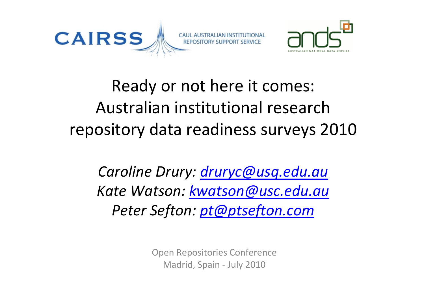



Ready or not here it comes: Australian institutional research repository data readiness surveys 2010

Caroline Drury: druryc@usq.edu.au Kate Watson: kwatson@usc.edu.auPeter Sefton: pt@ptsefton.com

> Open Repositories ConferenceMadrid, Spain - July 2010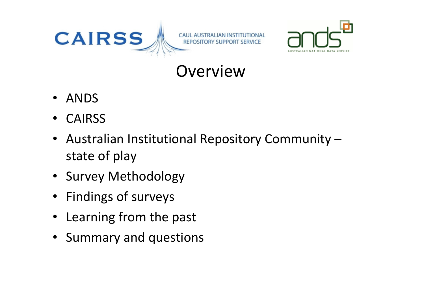



#### **Overview**

- $\bullet$ ANDS
- $\bullet$ CAIRSS
- Australian Institutional Repository Community –state of play
- Survey Methodology
- Findings of surveys
- $\bullet$ Learning from the past
- Summary and questions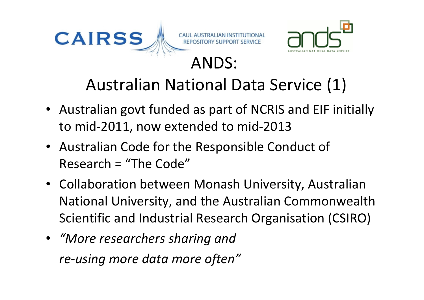



- Australian govt funded as part of NCRIS and EIF initially to mid-2011, now extended to mid-2013
- Australian Code for the Responsible Conduct of Research = "The Code"
- Collaboration between Monash University, Australian National University, and the Australian Commonwealth Scientific and Industrial Research Organisation (CSIRO)
- "More researchers sharing and re-using more data more often"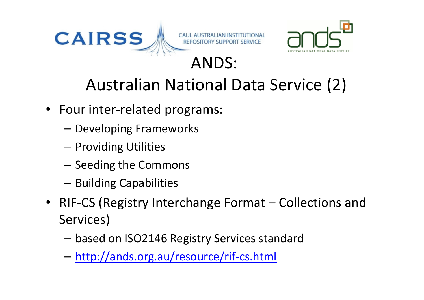



## Australian National Data Service (2)

- Four inter-related programs:
	- –Developing Frameworks
	- – $-$  Providing Utilities
	- – $-$  Seeding the Commons
	- – $-$  Building Capabilities
- RIF-CS (Registry Interchange Format Collections and Services)
	- –based on ISO2146 Registry Services standard
	- –http://ands.org.au/resource/rif-cs.html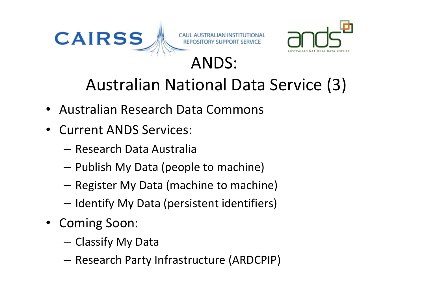



# Australian National Data Service (3)

- Australian Research Data Commons
- • Current ANDS Services:
	- –— Research Data Australia
	- – $-$  Publish My Data (people to machine)
	- – $-$  Register My Data (machine to machine)
	- – $-$  Identify My Data (persistent identifiers)
- Coming Soon:
	- –— Classify My Data
	- – $-$  Research Party Infrastructure (ARDCPIP)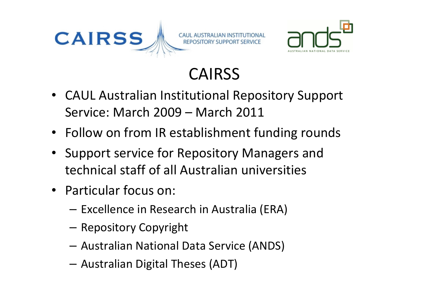



## CAIRSS

- CAUL Australian Institutional Repository Support Service: March 2009 – March 2011
- Follow on from IR establishment funding rounds
- Support service for Repository Managers and technical staff of all Australian universities
- Particular focus on:
	- – $-$  Excellence in Research in Australia (ERA)
	- –Repository Copyright
	- –Australian National Data Service (ANDS)
	- –Australian Digital Theses (ADT)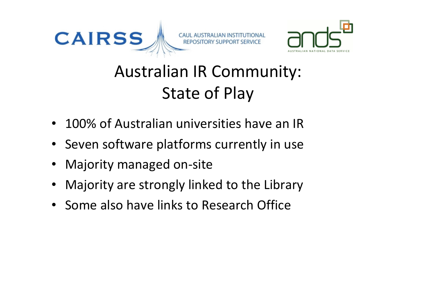



# Australian IR Community: State of Play

- 100% of Australian universities have an IR
- Seven software platforms currently in use
- Majority managed on-site
- •Majority are strongly linked to the Library
- Some also have links to Research Office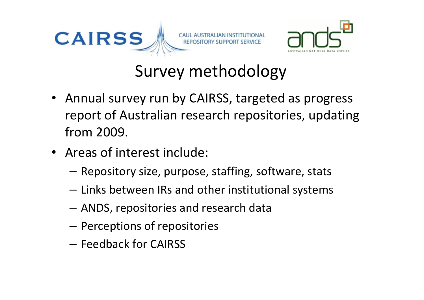



## Survey methodology

- Annual survey run by CAIRSS, targeted as progress report of Australian research repositories, updating from 2009.
- Areas of interest include:
	- – $-$  Repository size, purpose, staffing, software, stats
	- – $-$  Links between IRs and other institutional systems
	- – $-$  ANDS, repositories and research data
	- – $-$  Perceptions of repositories
	- – $-$  Feedback for CAIRSS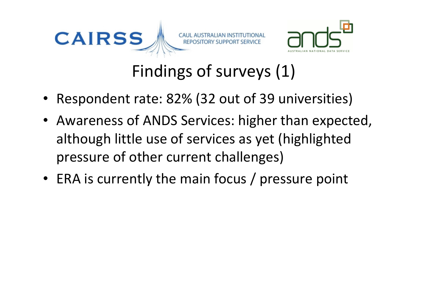

Findings of surveys (1)

- Respondent rate: 82% (32 out of 39 universities)
- Awareness of ANDS Services: higher than expected, although little use of services as yet (highlightedpressure of other current challenges)
- ERA is currently the main focus / pressure point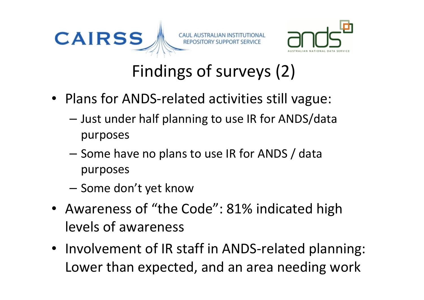



# Findings of surveys (2)

- Plans for ANDS-related activities still vague:
	- – Just under half planning to use IR for ANDS/data purposes
	- –- Some have no plans to use IR for ANDS / data purposes
	- – $-$  Some don't yet know
- Awareness of "the Code": 81% indicated high levels of awareness
- Involvement of IR staff in ANDS-related planning: Lower than expected, and an area needing work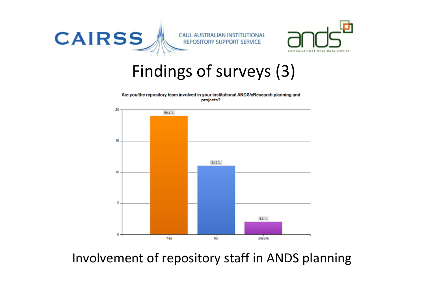

#### Findings of surveys (3)





#### Involvement of repository staff in ANDS planning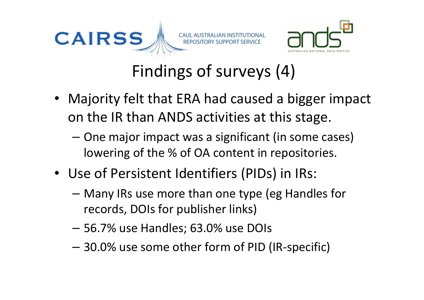



Findings of surveys (4)

- Majority felt that ERA had caused a bigger impact on the IR than ANDS activities at this stage.
	- One major impact was a significant (in some cases) lowering of the % of OA content in repositories.
- Use of Persistent Identifiers (PIDs) in IRs:
	- Many IRs use more than one type (eg Handles for records, DOIs for publisher links)
	- 56.7% use Handles; 63.0% use DOIs
	- 30.0% use some other form of PID (IR-specific)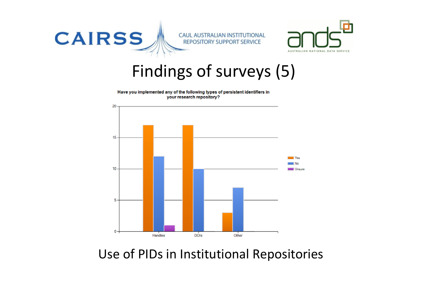

**CAUL AUSTRALIAN INSTITUTIONAL REPOSITORY SUPPORT SERVICE** 



Findings of surveys (5)

Have you implemented any of the following types of persistent identifiers in your research repository?



Use of PIDs in Institutional Repositories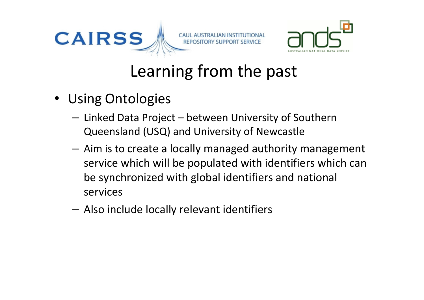



## Learning from the past

- Using Ontologies
	- Linked Data Project between University of Southern Queensland (USQ) and University of Newcastle
	- Aim is to create a locally managed authority management service which will be populated with identifiers which can be synchronized with global identifiers and national services
	- –Also include locally relevant identifiers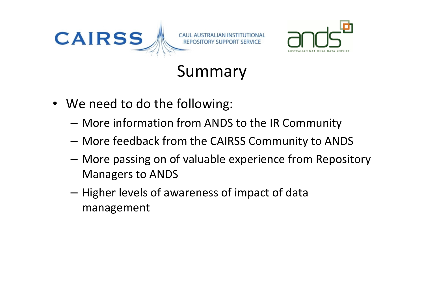



## Summary

- We need to do the following:
	- – $-$  More information from ANDS to the IR Community
	- –More feedback from the CAIRSS Community to ANDS
	- – More passing on of valuable experience from Repository Managers to ANDS
	- – $-$  Higher levels of awareness of impact of data management